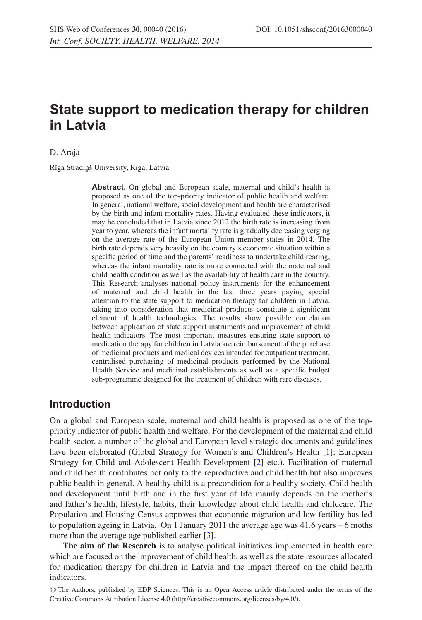# **State support to medication therapy for children in Latvia**

D. Araja

Rīga Stradiņš University, Riga, Latvia

**Abstract.** On global and European scale, maternal and child's health is proposed as one of the top-priority indicator of public health and welfare. In general, national welfare, social development and health are characterised by the birth and infant mortality rates. Having evaluated these indicators, it may be concluded that in Latvia since 2012 the birth rate is increasing from year to year, whereas the infant mortality rate is gradually decreasing verging on the average rate of the European Union member states in 2014. The birth rate depends very heavily on the country's economic situation within a specific period of time and the parents' readiness to undertake child rearing, whereas the infant mortality rate is more connected with the maternal and child health condition as well as the availability of health care in the country. This Research analyses national policy instruments for the enhancement of maternal and child health in the last three years paying special attention to the state support to medication therapy for children in Latvia, taking into consideration that medicinal products constitute a significant element of health technologies. The results show possible correlation between application of state support instruments and improvement of child health indicators. The most important measures ensuring state support to medication therapy for children in Latvia are reimbursement of the purchase of medicinal products and medical devices intended for outpatient treatment, centralised purchasing of medicinal products performed by the National Health Service and medicinal establishments as well as a specific budget sub-programme designed for the treatment of children with rare diseases.

#### **Introduction**

On a global and European scale, maternal and child health is proposed as one of the toppriority indicator of public health and welfare. For the development of the maternal and child health sector, a number of the global and European level strategic documents and guidelines have been elaborated (Global Strategy for Women's and Children's Health [\[1](#page-6-0)]; European Strategy for Child and Adolescent Health Development [\[2](#page-6-1)] etc.). Facilitation of maternal and child health contributes not only to the reproductive and child health but also improves public health in general. A healthy child is a precondition for a healthy society. Child health and development until birth and in the first year of life mainly depends on the mother's and father's health, lifestyle, habits, their knowledge about child health and childcare. The Population and Housing Census approves that economic migration and low fertility has led to population ageing in Latvia. On 1 January 2011 the average age was 41.6 years – 6 moths more than the average age published earlier [\[3\]](#page-6-2).

**The aim of the Research** is to analyse political initiatives implemented in health care which are focused on the improvement of child health, as well as the state resources allocated for medication therapy for children in Latvia and the impact thereof on the child health indicators.

<sup>C</sup> The Authors, published by EDP Sciences. This is an Open Access article distributed under the terms of the Creative Commons Attribution License 4.0 (http://creativecommons.org/licenses/by/4.0/).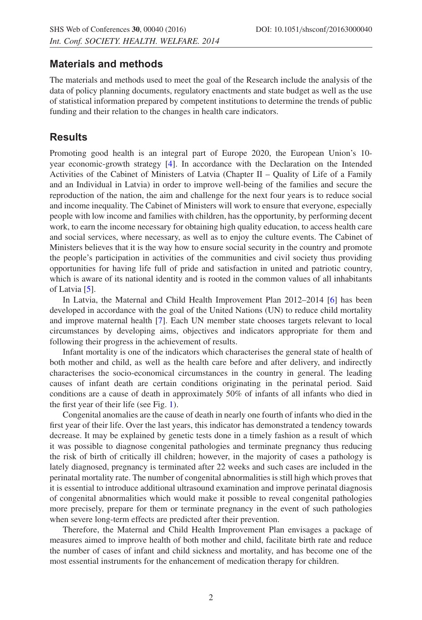#### **Materials and methods**

The materials and methods used to meet the goal of the Research include the analysis of the data of policy planning documents, regulatory enactments and state budget as well as the use of statistical information prepared by competent institutions to determine the trends of public funding and their relation to the changes in health care indicators.

## **Results**

Promoting good health is an integral part of Europe 2020, the European Union's 10 year economic-growth strategy [\[4](#page-6-3)]. In accordance with the Declaration on the Intended Activities of the Cabinet of Ministers of Latvia (Chapter II – Quality of Life of a Family and an Individual in Latvia) in order to improve well-being of the families and secure the reproduction of the nation, the aim and challenge for the next four years is to reduce social and income inequality. The Cabinet of Ministers will work to ensure that everyone, especially people with low income and families with children, has the opportunity, by performing decent work, to earn the income necessary for obtaining high quality education, to access health care and social services, where necessary, as well as to enjoy the culture events. The Cabinet of Ministers believes that it is the way how to ensure social security in the country and promote the people's participation in activities of the communities and civil society thus providing opportunities for having life full of pride and satisfaction in united and patriotic country, which is aware of its national identity and is rooted in the common values of all inhabitants of Latvia [\[5\]](#page-6-4).

In Latvia, the Maternal and Child Health Improvement Plan 2012–2014 [\[6](#page-6-5)] has been developed in accordance with the goal of the United Nations (UN) to reduce child mortality and improve maternal health [\[7\]](#page-6-6). Each UN member state chooses targets relevant to local circumstances by developing aims, objectives and indicators appropriate for them and following their progress in the achievement of results.

Infant mortality is one of the indicators which characterises the general state of health of both mother and child, as well as the health care before and after delivery, and indirectly characterises the socio-economical circumstances in the country in general. The leading causes of infant death are certain conditions originating in the perinatal period. Said conditions are a cause of death in approximately 50% of infants of all infants who died in the first year of their life (see Fig. [1\)](#page-2-0).

Congenital anomalies are the cause of death in nearly one fourth of infants who died in the first year of their life. Over the last years, this indicator has demonstrated a tendency towards decrease. It may be explained by genetic tests done in a timely fashion as a result of which it was possible to diagnose congenital pathologies and terminate pregnancy thus reducing the risk of birth of critically ill children; however, in the majority of cases a pathology is lately diagnosed, pregnancy is terminated after 22 weeks and such cases are included in the perinatal mortality rate. The number of congenital abnormalities is still high which proves that it is essential to introduce additional ultrasound examination and improve perinatal diagnosis of congenital abnormalities which would make it possible to reveal congenital pathologies more precisely, prepare for them or terminate pregnancy in the event of such pathologies when severe long-term effects are predicted after their prevention.

Therefore, the Maternal and Child Health Improvement Plan envisages a package of measures aimed to improve health of both mother and child, facilitate birth rate and reduce the number of cases of infant and child sickness and mortality, and has become one of the most essential instruments for the enhancement of medication therapy for children.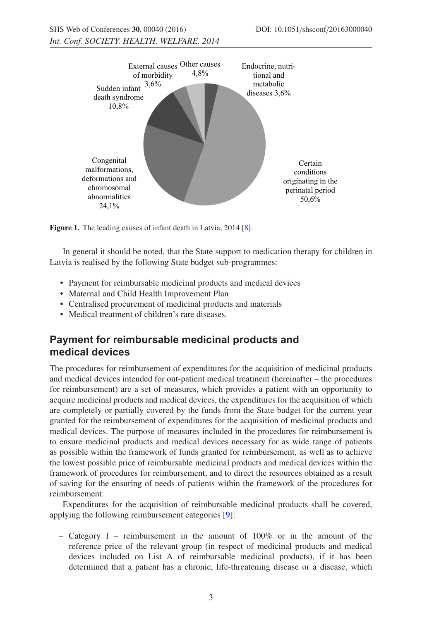<span id="page-2-0"></span>

**Figure 1.** The leading causes of infant death in Latvia, 2014 [\[8\]](#page-6-7).

In general it should be noted, that the State support to medication therapy for children in Latvia is realised by the following State budget sub-programmes:

- Payment for reimbursable medicinal products and medical devices
- Maternal and Child Health Improvement Plan
- Centralised procurement of medicinal products and materials
- Medical treatment of children's rare diseases.

# **Payment for reimbursable medicinal products and medical devices**

The procedures for reimbursement of expenditures for the acquisition of medicinal products and medical devices intended for out-patient medical treatment (hereinafter – the procedures for reimbursement) are a set of measures, which provides a patient with an opportunity to acquire medicinal products and medical devices, the expenditures for the acquisition of which are completely or partially covered by the funds from the State budget for the current year granted for the reimbursement of expenditures for the acquisition of medicinal products and medical devices. The purpose of measures included in the procedures for reimbursement is to ensure medicinal products and medical devices necessary for as wide range of patients as possible within the framework of funds granted for reimbursement, as well as to achieve the lowest possible price of reimbursable medicinal products and medical devices within the framework of procedures for reimbursement, and to direct the resources obtained as a result of saving for the ensuring of needs of patients within the framework of the procedures for reimbursement.

Expenditures for the acquisition of reimbursable medicinal products shall be covered, applying the following reimbursement categories [\[9\]](#page-6-8):

– Category I – reimbursement in the amount of 100% or in the amount of the reference price of the relevant group (in respect of medicinal products and medical devices included on List A of reimbursable medicinal products), if it has been determined that a patient has a chronic, life-threatening disease or a disease, which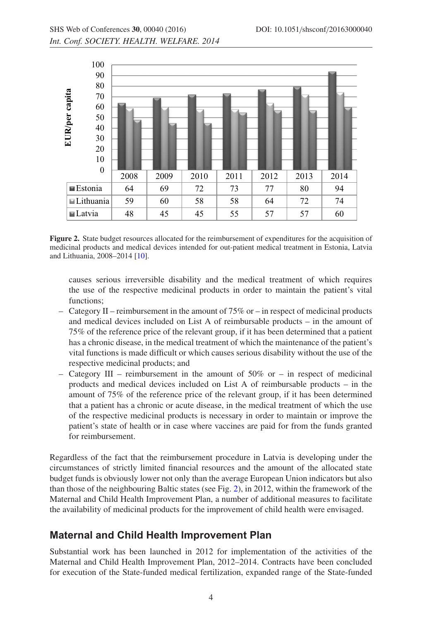<span id="page-3-0"></span>

**Figure 2.** State budget resources allocated for the reimbursement of expenditures for the acquisition of medicinal products and medical devices intended for out-patient medical treatment in Estonia, Latvia and Lithuania, 2008–2014 [\[10](#page-6-9)].

causes serious irreversible disability and the medical treatment of which requires the use of the respective medicinal products in order to maintain the patient's vital functions;

- Category II reimbursement in the amount of 75% or in respect of medicinal products and medical devices included on List A of reimbursable products – in the amount of 75% of the reference price of the relevant group, if it has been determined that a patient has a chronic disease, in the medical treatment of which the maintenance of the patient's vital functions is made difficult or which causes serious disability without the use of the respective medicinal products; and
- Category III reimbursement in the amount of  $50\%$  or in respect of medicinal products and medical devices included on List A of reimbursable products – in the amount of 75% of the reference price of the relevant group, if it has been determined that a patient has a chronic or acute disease, in the medical treatment of which the use of the respective medicinal products is necessary in order to maintain or improve the patient's state of health or in case where vaccines are paid for from the funds granted for reimbursement.

Regardless of the fact that the reimbursement procedure in Latvia is developing under the circumstances of strictly limited financial resources and the amount of the allocated state budget funds is obviously lower not only than the average European Union indicators but also than those of the neighbouring Baltic states (see Fig. [2\)](#page-3-0), in 2012, within the framework of the Maternal and Child Health Improvement Plan, a number of additional measures to facilitate the availability of medicinal products for the improvement of child health were envisaged.

### **Maternal and Child Health Improvement Plan**

Substantial work has been launched in 2012 for implementation of the activities of the Maternal and Child Health Improvement Plan, 2012–2014. Contracts have been concluded for execution of the State-funded medical fertilization, expanded range of the State-funded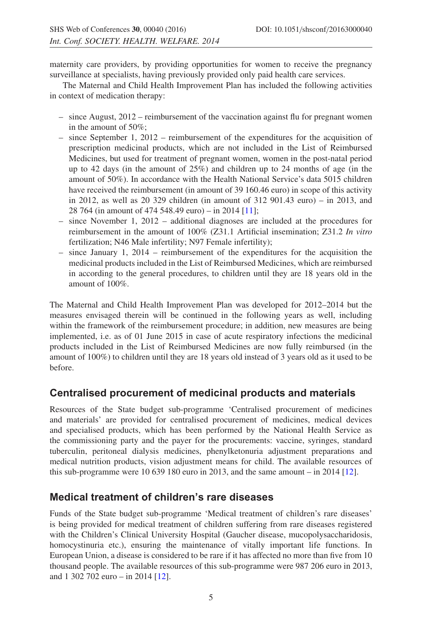maternity care providers, by providing opportunities for women to receive the pregnancy surveillance at specialists, having previously provided only paid health care services.

The Maternal and Child Health Improvement Plan has included the following activities in context of medication therapy:

- $-$  since August, 2012 reimbursement of the vaccination against flu for pregnant women in the amount of 50%;
- since September 1, 2012 reimbursement of the expenditures for the acquisition of prescription medicinal products, which are not included in the List of Reimbursed Medicines, but used for treatment of pregnant women, women in the post-natal period up to 42 days (in the amount of 25%) and children up to 24 months of age (in the amount of 50%). In accordance with the Health National Service's data 5015 children have received the reimbursement (in amount of 39 160.46 euro) in scope of this activity in 2012, as well as 20 329 children (in amount of 312 901.43 euro) – in 2013, and 28 764 (in amount of 474 548.49 euro) – in 2014 [\[11\]](#page-6-10);
- since November 1, 2012 additional diagnoses are included at the procedures for reimbursement in the amount of 100% (Z31.1 Artificial insemination; Z31.2 *In vitro* fertilization; N46 Male infertility; N97 Female infertility);
- $-$  since January 1, 2014 reimbursement of the expenditures for the acquisition the medicinal products included in the List of Reimbursed Medicines, which are reimbursed in according to the general procedures, to children until they are 18 years old in the amount of 100%.

The Maternal and Child Health Improvement Plan was developed for 2012–2014 but the measures envisaged therein will be continued in the following years as well, including within the framework of the reimbursement procedure; in addition, new measures are being implemented, i.e. as of 01 June 2015 in case of acute respiratory infections the medicinal products included in the List of Reimbursed Medicines are now fully reimbursed (in the amount of 100%) to children until they are 18 years old instead of 3 years old as it used to be before.

### **Centralised procurement of medicinal products and materials**

Resources of the State budget sub-programme 'Centralised procurement of medicines and materials' are provided for centralised procurement of medicines, medical devices and specialised products, which has been performed by the National Health Service as the commissioning party and the payer for the procurements: vaccine, syringes, standard tuberculin, peritoneal dialysis medicines, phenylketonuria adjustment preparations and medical nutrition products, vision adjustment means for child. The available resources of this sub-programme were 10 639 180 euro in 2013, and the same amount – in 2014 [\[12](#page-7-0)].

### **Medical treatment of children's rare diseases**

Funds of the State budget sub-programme 'Medical treatment of children's rare diseases' is being provided for medical treatment of children suffering from rare diseases registered with the Children's Clinical University Hospital (Gaucher disease, mucopolysaccharidosis, homocystinuria etc.), ensuring the maintenance of vitally important life functions. In European Union, a disease is considered to be rare if it has affected no more than five from 10 thousand people. The available resources of this sub-programme were 987 206 euro in 2013, and 1 302 702 euro – in 2014 [\[12\]](#page-7-0).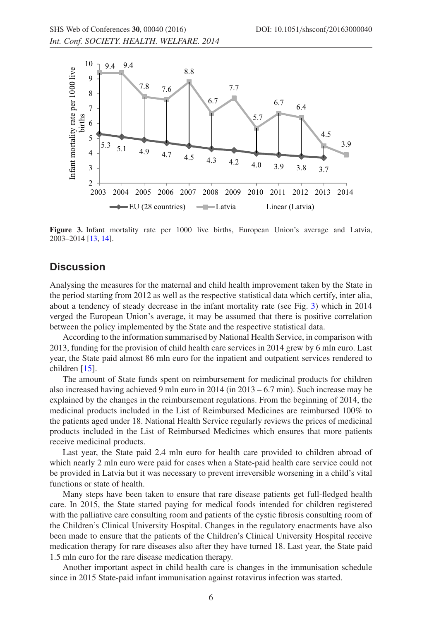<span id="page-5-0"></span>

**Figure 3.** Infant mortality rate per 1000 live births, European Union's average and Latvia, 2003–2014 [\[13](#page-7-1), [14\]](#page-7-2).

#### **Discussion**

Analysing the measures for the maternal and child health improvement taken by the State in the period starting from 2012 as well as the respective statistical data which certify, inter alia, about a tendency of steady decrease in the infant mortality rate (see Fig. [3\)](#page-5-0) which in 2014 verged the European Union's average, it may be assumed that there is positive correlation between the policy implemented by the State and the respective statistical data.

According to the information summarised by National Health Service, in comparison with 2013, funding for the provision of child health care services in 2014 grew by 6 mln euro. Last year, the State paid almost 86 mln euro for the inpatient and outpatient services rendered to children [\[15](#page-7-3)].

The amount of State funds spent on reimbursement for medicinal products for children also increased having achieved 9 mln euro in 2014 (in 2013 – 6.7 min). Such increase may be explained by the changes in the reimbursement regulations. From the beginning of 2014, the medicinal products included in the List of Reimbursed Medicines are reimbursed 100% to the patients aged under 18. National Health Service regularly reviews the prices of medicinal products included in the List of Reimbursed Medicines which ensures that more patients receive medicinal products.

Last year, the State paid 2.4 mln euro for health care provided to children abroad of which nearly 2 mln euro were paid for cases when a State-paid health care service could not be provided in Latvia but it was necessary to prevent irreversible worsening in a child's vital functions or state of health.

Many steps have been taken to ensure that rare disease patients get full-fledged health care. In 2015, the State started paying for medical foods intended for children registered with the palliative care consulting room and patients of the cystic fibrosis consulting room of the Children's Clinical University Hospital. Changes in the regulatory enactments have also been made to ensure that the patients of the Children's Clinical University Hospital receive medication therapy for rare diseases also after they have turned 18. Last year, the State paid 1.5 mln euro for the rare disease medication therapy.

Another important aspect in child health care is changes in the immunisation schedule since in 2015 State-paid infant immunisation against rotavirus infection was started.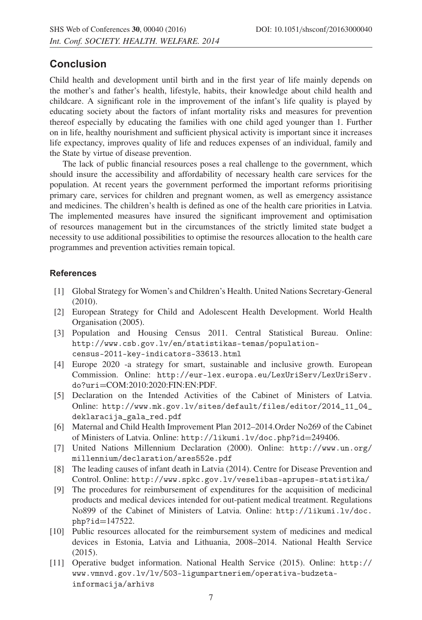### **Conclusion**

Child health and development until birth and in the first year of life mainly depends on the mother's and father's health, lifestyle, habits, their knowledge about child health and childcare. A significant role in the improvement of the infant's life quality is played by educating society about the factors of infant mortality risks and measures for prevention thereof especially by educating the families with one child aged younger than 1. Further on in life, healthy nourishment and sufficient physical activity is important since it increases life expectancy, improves quality of life and reduces expenses of an individual, family and the State by virtue of disease prevention.

The lack of public financial resources poses a real challenge to the government, which should insure the accessibility and affordability of necessary health care services for the population. At recent years the government performed the important reforms prioritising primary care, services for children and pregnant women, as well as emergency assistance and medicines. The children's health is defined as one of the health care priorities in Latvia. The implemented measures have insured the significant improvement and optimisation of resources management but in the circumstances of the strictly limited state budget a necessity to use additional possibilities to optimise the resources allocation to the health care programmes and prevention activities remain topical.

#### <span id="page-6-0"></span>**References**

- [1] Global Strategy for Women's and Children's Health. United Nations Secretary-General (2010).
- <span id="page-6-1"></span>[2] European Strategy for Child and Adolescent Health Development. World Health Organisation (2005).
- <span id="page-6-2"></span>[3] Population and Housing Census 2011. Central Statistical Bureau. Online: http://www.csb.gov.lv/en/statistikas-temas/populationcensus-2011-key-indicators-33613.html
- <span id="page-6-3"></span>[4] Europe 2020 -a strategy for smart, sustainable and inclusive growth. European Commission. Online: http://eur-lex.europa.eu/LexUriServ/LexUriServ. do?uri=COM:2010:2020:FIN:EN:PDF.
- <span id="page-6-4"></span>[5] Declaration on the Intended Activities of the Cabinet of Ministers of Latvia. Online: http://www.mk.gov.lv/sites/default/files/editor/2014\_11\_04\_ deklaracija\_gala\_red.pdf
- <span id="page-6-5"></span>[6] Maternal and Child Health Improvement Plan 2012–2014.Order No269 of the Cabinet of Ministers of Latvia. Online: http://likumi.lv/doc.php?id=249406.
- <span id="page-6-6"></span>[7] United Nations Millennium Declaration (2000). Online: http://www.un.org/ millennium/declaration/ares552e.pdf
- <span id="page-6-7"></span>[8] The leading causes of infant death in Latvia (2014). Centre for Disease Prevention and Control. Online: http://www.spkc.gov.lv/veselibas-aprupes-statistika/
- <span id="page-6-8"></span>[9] The procedures for reimbursement of expenditures for the acquisition of medicinal products and medical devices intended for out-patient medical treatment. Regulations No899 of the Cabinet of Ministers of Latvia. Online: http://likumi.lv/doc. php?id=147522.
- <span id="page-6-9"></span>[10] Public resources allocated for the reimbursement system of medicines and medical devices in Estonia, Latvia and Lithuania, 2008–2014. National Health Service (2015).
- <span id="page-6-10"></span>[11] Operative budget information. National Health Service (2015). Online: http:// www.vmnvd.gov.lv/lv/503-ligumpartneriem/operativa-budzetainformacija/arhivs